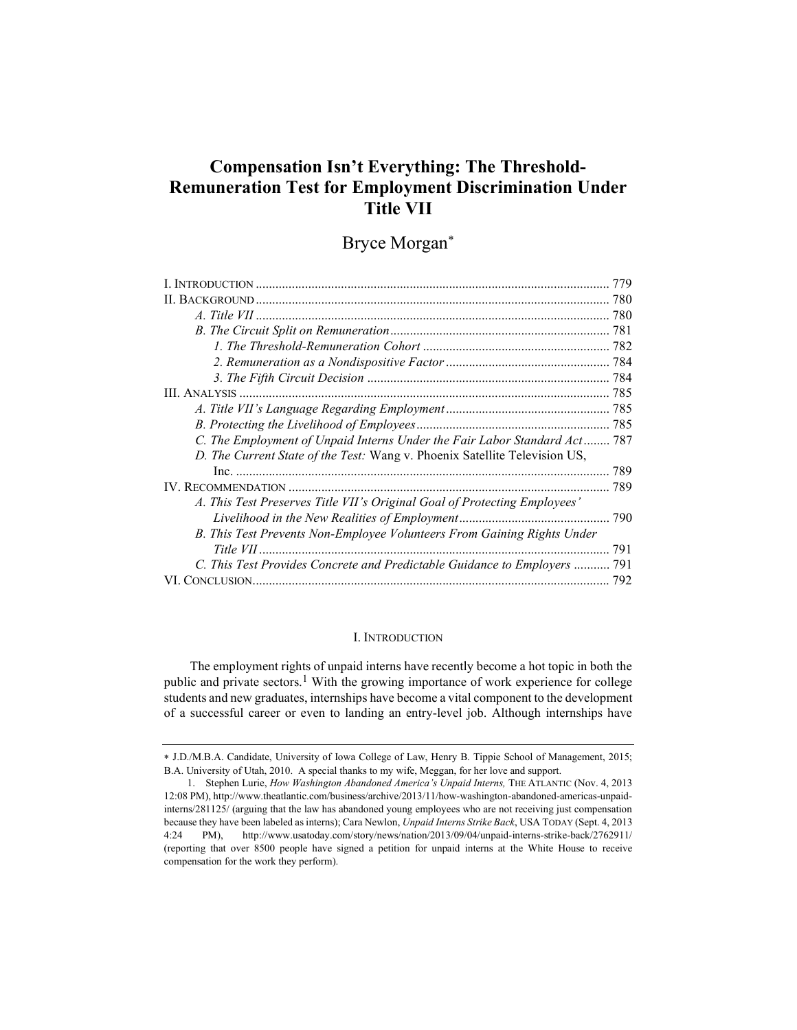# Compensation Isn't Everything: The Threshold-Remuneration Test for Employment Discrimination Under Title VII

# Bryce Morgan

| 779                                                                        |  |
|----------------------------------------------------------------------------|--|
|                                                                            |  |
|                                                                            |  |
|                                                                            |  |
|                                                                            |  |
|                                                                            |  |
|                                                                            |  |
|                                                                            |  |
|                                                                            |  |
|                                                                            |  |
| C. The Employment of Unpaid Interns Under the Fair Labor Standard Act 787  |  |
| D. The Current State of the Test: Wang v. Phoenix Satellite Television US, |  |
|                                                                            |  |
|                                                                            |  |
| A. This Test Preserves Title VII's Original Goal of Protecting Employees'  |  |
|                                                                            |  |
| B. This Test Prevents Non-Employee Volunteers From Gaining Rights Under    |  |
| 791                                                                        |  |
| C. This Test Provides Concrete and Predictable Guidance to Employers  791  |  |
| VI. CONCLUSION                                                             |  |

## I. INTRODUCTION

The employment rights of unpaid interns have recently become a hot topic in both the public and private sectors.1 With the growing importance of work experience for college students and new graduates, internships have become a vital component to the development of a successful career or even to landing an entry-level job. Although internships have

J.D./M.B.A. Candidate, University of Iowa College of Law, Henry B. Tippie School of Management, 2015; B.A. University of Utah, 2010. A special thanks to my wife, Meggan, for her love and support.

 <sup>1.</sup> Stephen Lurie, How Washington Abandoned America's Unpaid Interns, THE ATLANTIC (Nov. 4, 2013 12:08 PM), http://www.theatlantic.com/business/archive/2013/11/how-washington-abandoned-americas-unpaidinterns/281125/ (arguing that the law has abandoned young employees who are not receiving just compensation because they have been labeled as interns); Cara Newlon, Unpaid Interns Strike Back, USA TODAY (Sept. 4, 2013 4:24 PM), http://www.usatoday.com/story/news/nation/2013/09/04/unpaid-interns-strike-back/2762911/ (reporting that over 8500 people have signed a petition for unpaid interns at the White House to receive compensation for the work they perform).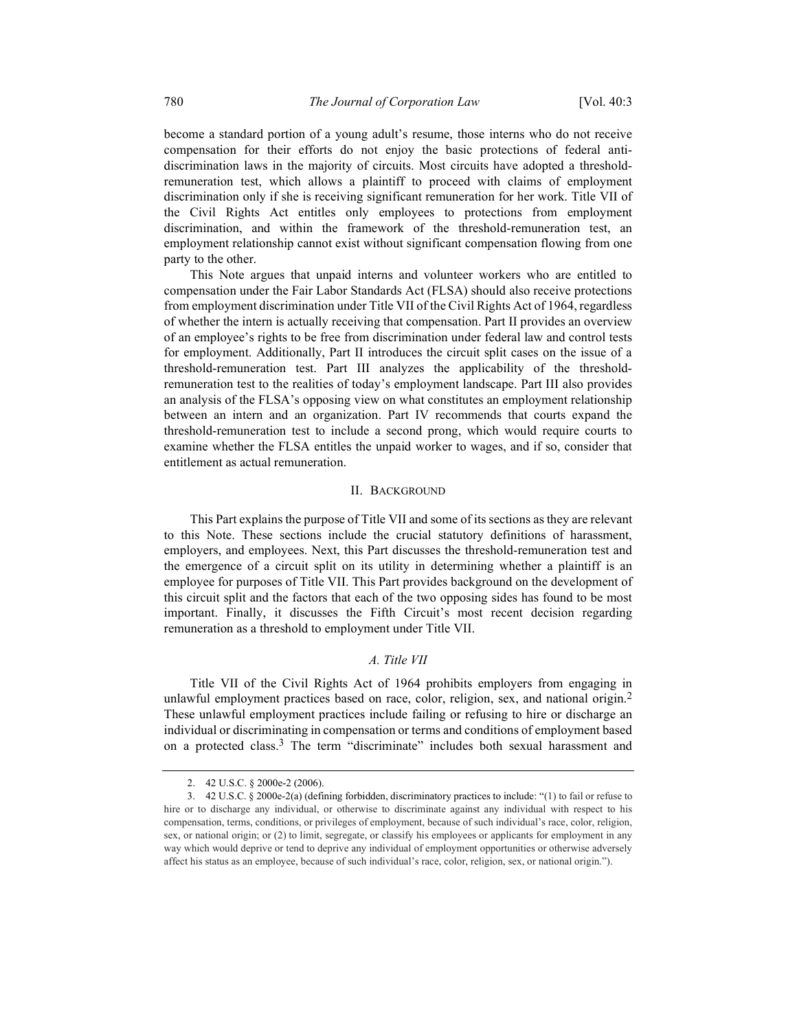become a standard portion of a young adult's resume, those interns who do not receive compensation for their efforts do not enjoy the basic protections of federal antidiscrimination laws in the majority of circuits. Most circuits have adopted a thresholdremuneration test, which allows a plaintiff to proceed with claims of employment discrimination only if she is receiving significant remuneration for her work. Title VII of the Civil Rights Act entitles only employees to protections from employment discrimination, and within the framework of the threshold-remuneration test, an employment relationship cannot exist without significant compensation flowing from one party to the other.

This Note argues that unpaid interns and volunteer workers who are entitled to compensation under the Fair Labor Standards Act (FLSA) should also receive protections from employment discrimination under Title VII of the Civil Rights Act of 1964, regardless of whether the intern is actually receiving that compensation. Part II provides an overview of an employee's rights to be free from discrimination under federal law and control tests for employment. Additionally, Part II introduces the circuit split cases on the issue of a threshold-remuneration test. Part III analyzes the applicability of the thresholdremuneration test to the realities of today's employment landscape. Part III also provides an analysis of the FLSA's opposing view on what constitutes an employment relationship between an intern and an organization. Part IV recommends that courts expand the threshold-remuneration test to include a second prong, which would require courts to examine whether the FLSA entitles the unpaid worker to wages, and if so, consider that entitlement as actual remuneration.

## II. BACKGROUND

This Part explains the purpose of Title VII and some of its sections as they are relevant to this Note. These sections include the crucial statutory definitions of harassment, employers, and employees. Next, this Part discusses the threshold-remuneration test and the emergence of a circuit split on its utility in determining whether a plaintiff is an employee for purposes of Title VII. This Part provides background on the development of this circuit split and the factors that each of the two opposing sides has found to be most important. Finally, it discusses the Fifth Circuit's most recent decision regarding remuneration as a threshold to employment under Title VII.

## A. Title VII

Title VII of the Civil Rights Act of 1964 prohibits employers from engaging in unlawful employment practices based on race, color, religion, sex, and national origin.<sup>2</sup> These unlawful employment practices include failing or refusing to hire or discharge an individual or discriminating in compensation or terms and conditions of employment based on a protected class.3 The term "discriminate" includes both sexual harassment and

 <sup>2. 42</sup> U.S.C. § 2000e-2 (2006).

 <sup>3. 42</sup> U.S.C. § 2000e-2(a) (defining forbidden, discriminatory practices to include: "(1) to fail or refuse to hire or to discharge any individual, or otherwise to discriminate against any individual with respect to his compensation, terms, conditions, or privileges of employment, because of such individual's race, color, religion, sex, or national origin; or (2) to limit, segregate, or classify his employees or applicants for employment in any way which would deprive or tend to deprive any individual of employment opportunities or otherwise adversely affect his status as an employee, because of such individual's race, color, religion, sex, or national origin.").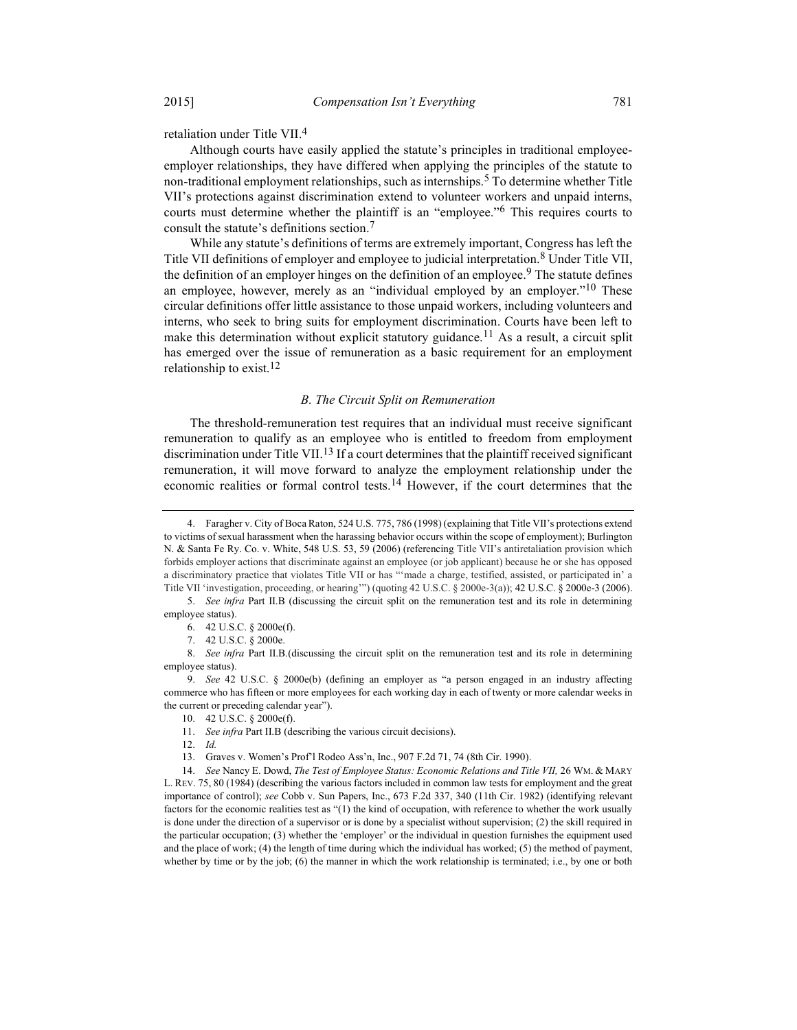retaliation under Title VII.4

Although courts have easily applied the statute's principles in traditional employeeemployer relationships, they have differed when applying the principles of the statute to non-traditional employment relationships, such as internships.<sup>5</sup> To determine whether Title VII's protections against discrimination extend to volunteer workers and unpaid interns, courts must determine whether the plaintiff is an "employee."6 This requires courts to consult the statute's definitions section.7

While any statute's definitions of terms are extremely important, Congress has left the Title VII definitions of employer and employee to judicial interpretation.8 Under Title VII, the definition of an employer hinges on the definition of an employee.<sup>9</sup> The statute defines an employee, however, merely as an "individual employed by an employer."<sup>10</sup> These circular definitions offer little assistance to those unpaid workers, including volunteers and interns, who seek to bring suits for employment discrimination. Courts have been left to make this determination without explicit statutory guidance.<sup>11</sup> As a result, a circuit split has emerged over the issue of remuneration as a basic requirement for an employment relationship to exist.<sup>12</sup>

## B. The Circuit Split on Remuneration

The threshold-remuneration test requires that an individual must receive significant remuneration to qualify as an employee who is entitled to freedom from employment discrimination under Title VII.<sup>13</sup> If a court determines that the plaintiff received significant remuneration, it will move forward to analyze the employment relationship under the economic realities or formal control tests.<sup>14</sup> However, if the court determines that the

 <sup>4.</sup> Faragher v. City of Boca Raton, 524 U.S. 775, 786 (1998) (explaining that Title VII's protections extend to victims of sexual harassment when the harassing behavior occurs within the scope of employment); Burlington N. & Santa Fe Ry. Co. v. White, 548 U.S. 53, 59 (2006) (referencing Title VII's antiretaliation provision which forbids employer actions that discriminate against an employee (or job applicant) because he or she has opposed a discriminatory practice that violates Title VII or has "'made a charge, testified, assisted, or participated in' a Title VII 'investigation, proceeding, or hearing'") (quoting 42 U.S.C. § 2000e-3(a)); 42 U.S.C. § 2000e-3 (2006).

 <sup>5.</sup> See infra Part II.B (discussing the circuit split on the remuneration test and its role in determining employee status).

 <sup>6. 42</sup> U.S.C. § 2000e(f).

 <sup>7. 42</sup> U.S.C. § 2000e.

 <sup>8.</sup> See infra Part II.B.(discussing the circuit split on the remuneration test and its role in determining employee status).

 <sup>9.</sup> See 42 U.S.C. § 2000e(b) (defining an employer as "a person engaged in an industry affecting commerce who has fifteen or more employees for each working day in each of twenty or more calendar weeks in the current or preceding calendar year").

 <sup>10. 42</sup> U.S.C. § 2000e(f).

 <sup>11.</sup> See infra Part II.B (describing the various circuit decisions).

 <sup>12.</sup> Id.

 <sup>13.</sup> Graves v. Women's Prof'l Rodeo Ass'n, Inc., 907 F.2d 71, 74 (8th Cir. 1990).

<sup>14.</sup> See Nancy E. Dowd, The Test of Employee Status: Economic Relations and Title VII, 26 WM. & MARY L. REV. 75, 80 (1984) (describing the various factors included in common law tests for employment and the great importance of control); see Cobb v. Sun Papers, Inc., 673 F.2d 337, 340 (11th Cir. 1982) (identifying relevant factors for the economic realities test as "(1) the kind of occupation, with reference to whether the work usually is done under the direction of a supervisor or is done by a specialist without supervision; (2) the skill required in the particular occupation; (3) whether the 'employer' or the individual in question furnishes the equipment used and the place of work; (4) the length of time during which the individual has worked; (5) the method of payment, whether by time or by the job; (6) the manner in which the work relationship is terminated; i.e., by one or both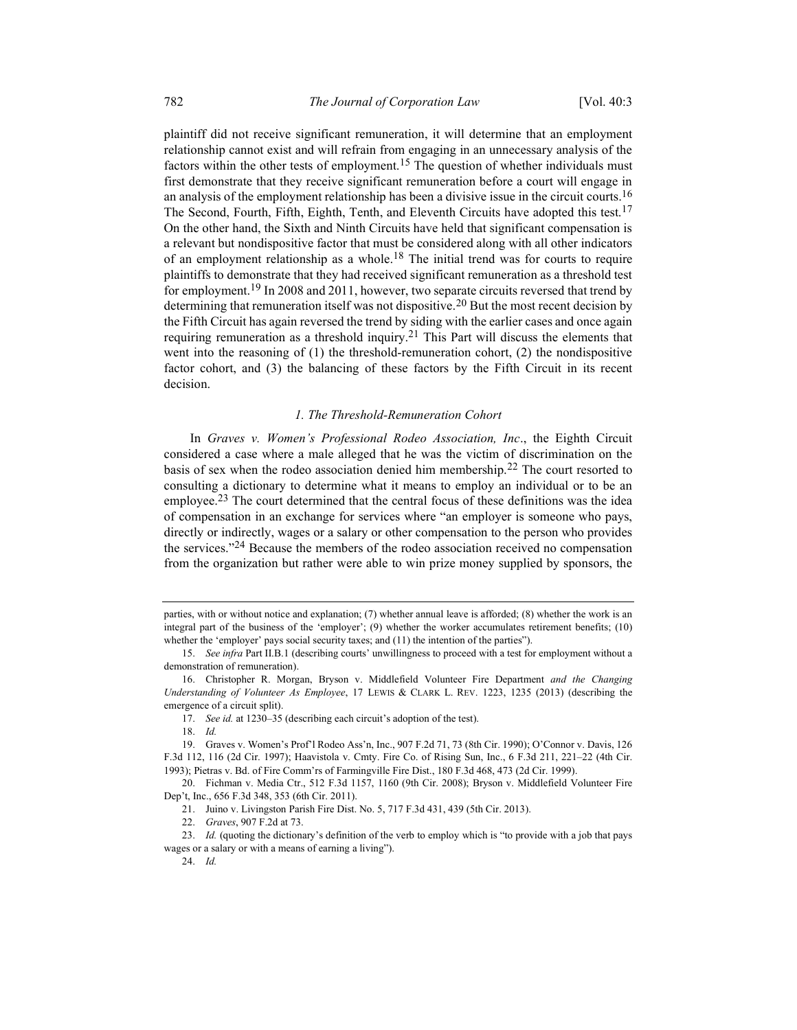plaintiff did not receive significant remuneration, it will determine that an employment relationship cannot exist and will refrain from engaging in an unnecessary analysis of the factors within the other tests of employment.<sup>15</sup> The question of whether individuals must first demonstrate that they receive significant remuneration before a court will engage in an analysis of the employment relationship has been a divisive issue in the circuit courts.<sup>16</sup> The Second, Fourth, Fifth, Eighth, Tenth, and Eleventh Circuits have adopted this test.<sup>17</sup> On the other hand, the Sixth and Ninth Circuits have held that significant compensation is a relevant but nondispositive factor that must be considered along with all other indicators of an employment relationship as a whole.<sup>18</sup> The initial trend was for courts to require plaintiffs to demonstrate that they had received significant remuneration as a threshold test for employment.<sup>19</sup> In 2008 and 2011, however, two separate circuits reversed that trend by determining that remuneration itself was not dispositive.<sup>20</sup> But the most recent decision by the Fifth Circuit has again reversed the trend by siding with the earlier cases and once again requiring remuneration as a threshold inquiry.<sup>21</sup> This Part will discuss the elements that went into the reasoning of  $(1)$  the threshold-remuneration cohort,  $(2)$  the nondispositive factor cohort, and (3) the balancing of these factors by the Fifth Circuit in its recent decision.

## 1. The Threshold-Remuneration Cohort

In Graves v. Women's Professional Rodeo Association, Inc., the Eighth Circuit considered a case where a male alleged that he was the victim of discrimination on the basis of sex when the rodeo association denied him membership.<sup>22</sup> The court resorted to consulting a dictionary to determine what it means to employ an individual or to be an employee.<sup>23</sup> The court determined that the central focus of these definitions was the idea of compensation in an exchange for services where "an employer is someone who pays, directly or indirectly, wages or a salary or other compensation to the person who provides the services."<sup>24</sup> Because the members of the rodeo association received no compensation from the organization but rather were able to win prize money supplied by sponsors, the

parties, with or without notice and explanation; (7) whether annual leave is afforded; (8) whether the work is an integral part of the business of the 'employer'; (9) whether the worker accumulates retirement benefits; (10) whether the 'employer' pays social security taxes; and (11) the intention of the parties").

<sup>15.</sup> See infra Part II.B.1 (describing courts' unwillingness to proceed with a test for employment without a demonstration of remuneration).

<sup>16.</sup> Christopher R. Morgan, Bryson v. Middlefield Volunteer Fire Department and the Changing Understanding of Volunteer As Employee, 17 LEWIS & CLARK L. REV. 1223, 1235 (2013) (describing the emergence of a circuit split).

<sup>17.</sup> See id. at 1230–35 (describing each circuit's adoption of the test).

 <sup>18.</sup> Id.

 <sup>19.</sup> Graves v. Women's Prof'l Rodeo Ass'n, Inc., 907 F.2d 71, 73 (8th Cir. 1990); O'Connor v. Davis, 126 F.3d 112, 116 (2d Cir. 1997); Haavistola v. Cmty. Fire Co. of Rising Sun, Inc., 6 F.3d 211, 221–22 (4th Cir. 1993); Pietras v. Bd. of Fire Comm'rs of Farmingville Fire Dist., 180 F.3d 468, 473 (2d Cir. 1999).

 <sup>20.</sup> Fichman v. Media Ctr., 512 F.3d 1157, 1160 (9th Cir. 2008); Bryson v. Middlefield Volunteer Fire Dep't, Inc., 656 F.3d 348, 353 (6th Cir. 2011).

 <sup>21.</sup> Juino v. Livingston Parish Fire Dist. No. 5, 717 F.3d 431, 439 (5th Cir. 2013).

 <sup>22.</sup> Graves, 907 F.2d at 73.

<sup>23.</sup> Id. (quoting the dictionary's definition of the verb to employ which is "to provide with a job that pays wages or a salary or with a means of earning a living").

 <sup>24.</sup> Id.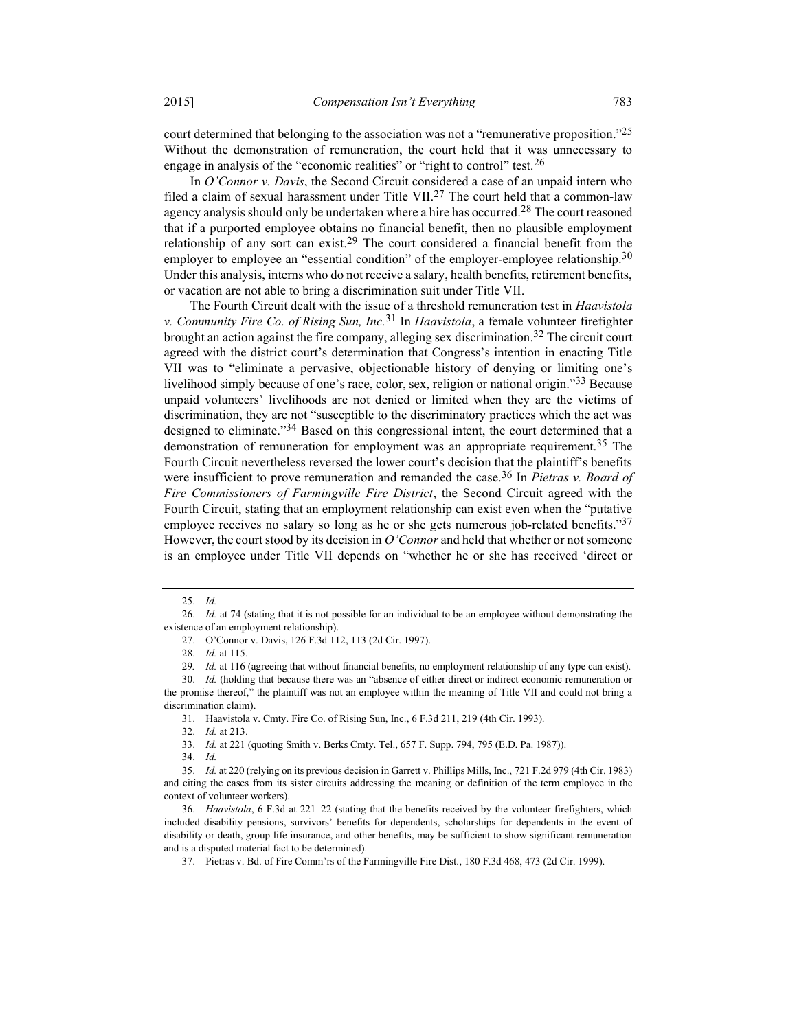court determined that belonging to the association was not a "remunerative proposition."<sup>25</sup> Without the demonstration of remuneration, the court held that it was unnecessary to engage in analysis of the "economic realities" or "right to control" test.<sup>26</sup>

In O'Connor v. Davis, the Second Circuit considered a case of an unpaid intern who filed a claim of sexual harassment under Title VII.<sup>27</sup> The court held that a common-law agency analysis should only be undertaken where a hire has occurred.<sup>28</sup> The court reasoned that if a purported employee obtains no financial benefit, then no plausible employment relationship of any sort can exist.<sup>29</sup> The court considered a financial benefit from the employer to employee an "essential condition" of the employer-employee relationship.<sup>30</sup> Under this analysis, interns who do not receive a salary, health benefits, retirement benefits, or vacation are not able to bring a discrimination suit under Title VII.

The Fourth Circuit dealt with the issue of a threshold remuneration test in Haavistola v. Community Fire Co. of Rising Sun, Inc.<sup>31</sup> In Haavistola, a female volunteer firefighter brought an action against the fire company, alleging sex discrimination.<sup>32</sup> The circuit court agreed with the district court's determination that Congress's intention in enacting Title VII was to "eliminate a pervasive, objectionable history of denying or limiting one's livelihood simply because of one's race, color, sex, religion or national origin."33 Because unpaid volunteers' livelihoods are not denied or limited when they are the victims of discrimination, they are not "susceptible to the discriminatory practices which the act was designed to eliminate."<sup>34</sup> Based on this congressional intent, the court determined that a demonstration of remuneration for employment was an appropriate requirement.<sup>35</sup> The Fourth Circuit nevertheless reversed the lower court's decision that the plaintiff's benefits were insufficient to prove remuneration and remanded the case.<sup>36</sup> In Pietras v. Board of Fire Commissioners of Farmingville Fire District, the Second Circuit agreed with the Fourth Circuit, stating that an employment relationship can exist even when the "putative employee receives no salary so long as he or she gets numerous job-related benefits."<sup>37</sup> However, the court stood by its decision in  $O'Connor$  and held that whether or not someone is an employee under Title VII depends on "whether he or she has received 'direct or

the promise thereof," the plaintiff was not an employee within the meaning of Title VII and could not bring a discrimination claim).

31. Haavistola v. Cmty. Fire Co. of Rising Sun, Inc., 6 F.3d 211, 219 (4th Cir. 1993).

32. Id. at 213.

33. Id. at 221 (quoting Smith v. Berks Cmty. Tel., 657 F. Supp. 794, 795 (E.D. Pa. 1987)).

34. Id.

 <sup>25.</sup> Id.

<sup>26.</sup> Id. at 74 (stating that it is not possible for an individual to be an employee without demonstrating the existence of an employment relationship).

 <sup>27.</sup> O'Connor v. Davis, 126 F.3d 112, 113 (2d Cir. 1997).

 <sup>28.</sup> Id. at 115.

<sup>29.</sup> Id. at 116 (agreeing that without financial benefits, no employment relationship of any type can exist).

 <sup>30.</sup> Id. (holding that because there was an "absence of either direct or indirect economic remuneration or

 <sup>35.</sup> Id. at 220 (relying on its previous decision in Garrett v. Phillips Mills, Inc., 721 F.2d 979 (4th Cir. 1983) and citing the cases from its sister circuits addressing the meaning or definition of the term employee in the context of volunteer workers).

 <sup>36.</sup> Haavistola, 6 F.3d at 221–22 (stating that the benefits received by the volunteer firefighters, which included disability pensions, survivors' benefits for dependents, scholarships for dependents in the event of disability or death, group life insurance, and other benefits, may be sufficient to show significant remuneration and is a disputed material fact to be determined).

 <sup>37.</sup> Pietras v. Bd. of Fire Comm'rs of the Farmingville Fire Dist., 180 F.3d 468, 473 (2d Cir. 1999).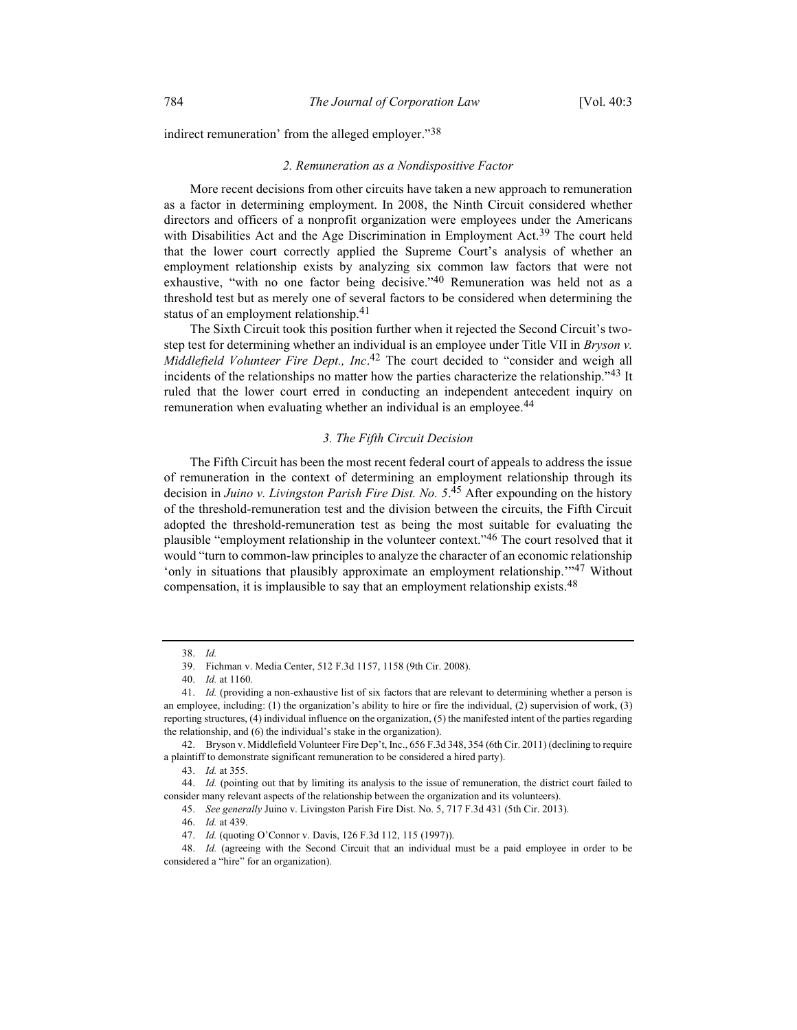indirect remuneration' from the alleged employer."<sup>38</sup>

#### 2. Remuneration as a Nondispositive Factor

More recent decisions from other circuits have taken a new approach to remuneration as a factor in determining employment. In 2008, the Ninth Circuit considered whether directors and officers of a nonprofit organization were employees under the Americans with Disabilities Act and the Age Discrimination in Employment Act.<sup>39</sup> The court held that the lower court correctly applied the Supreme Court's analysis of whether an employment relationship exists by analyzing six common law factors that were not exhaustive, "with no one factor being decisive."<sup>40</sup> Remuneration was held not as a threshold test but as merely one of several factors to be considered when determining the status of an employment relationship.<sup>41</sup>

The Sixth Circuit took this position further when it rejected the Second Circuit's twostep test for determining whether an individual is an employee under Title VII in *Bryson v*. Middlefield Volunteer Fire Dept., Inc.<sup>42</sup> The court decided to "consider and weigh all incidents of the relationships no matter how the parties characterize the relationship."<sup>43</sup> It ruled that the lower court erred in conducting an independent antecedent inquiry on remuneration when evaluating whether an individual is an employee.<sup>44</sup>

#### 3. The Fifth Circuit Decision

The Fifth Circuit has been the most recent federal court of appeals to address the issue of remuneration in the context of determining an employment relationship through its decision in Juino v. Livingston Parish Fire Dist. No. 5.<sup>45</sup> After expounding on the history of the threshold-remuneration test and the division between the circuits, the Fifth Circuit adopted the threshold-remuneration test as being the most suitable for evaluating the plausible "employment relationship in the volunteer context."<sup>46</sup> The court resolved that it would "turn to common-law principles to analyze the character of an economic relationship 'only in situations that plausibly approximate an employment relationship.'"47 Without compensation, it is implausible to say that an employment relationship exists.<sup>48</sup>

 <sup>38.</sup> Id.

 <sup>39.</sup> Fichman v. Media Center, 512 F.3d 1157, 1158 (9th Cir. 2008).

 <sup>40.</sup> Id. at 1160.

<sup>41.</sup> Id. (providing a non-exhaustive list of six factors that are relevant to determining whether a person is an employee, including: (1) the organization's ability to hire or fire the individual, (2) supervision of work, (3) reporting structures, (4) individual influence on the organization, (5) the manifested intent of the parties regarding the relationship, and (6) the individual's stake in the organization).

 <sup>42.</sup> Bryson v. Middlefield Volunteer Fire Dep't, Inc., 656 F.3d 348, 354 (6th Cir. 2011) (declining to require a plaintiff to demonstrate significant remuneration to be considered a hired party).

 <sup>43.</sup> Id. at 355.

 <sup>44.</sup> Id. (pointing out that by limiting its analysis to the issue of remuneration, the district court failed to consider many relevant aspects of the relationship between the organization and its volunteers).

 <sup>45.</sup> See generally Juino v. Livingston Parish Fire Dist. No. 5, 717 F.3d 431 (5th Cir. 2013).

 <sup>46.</sup> Id. at 439.

 <sup>47.</sup> Id. (quoting O'Connor v. Davis, 126 F.3d 112, 115 (1997)).

 <sup>48.</sup> Id. (agreeing with the Second Circuit that an individual must be a paid employee in order to be considered a "hire" for an organization).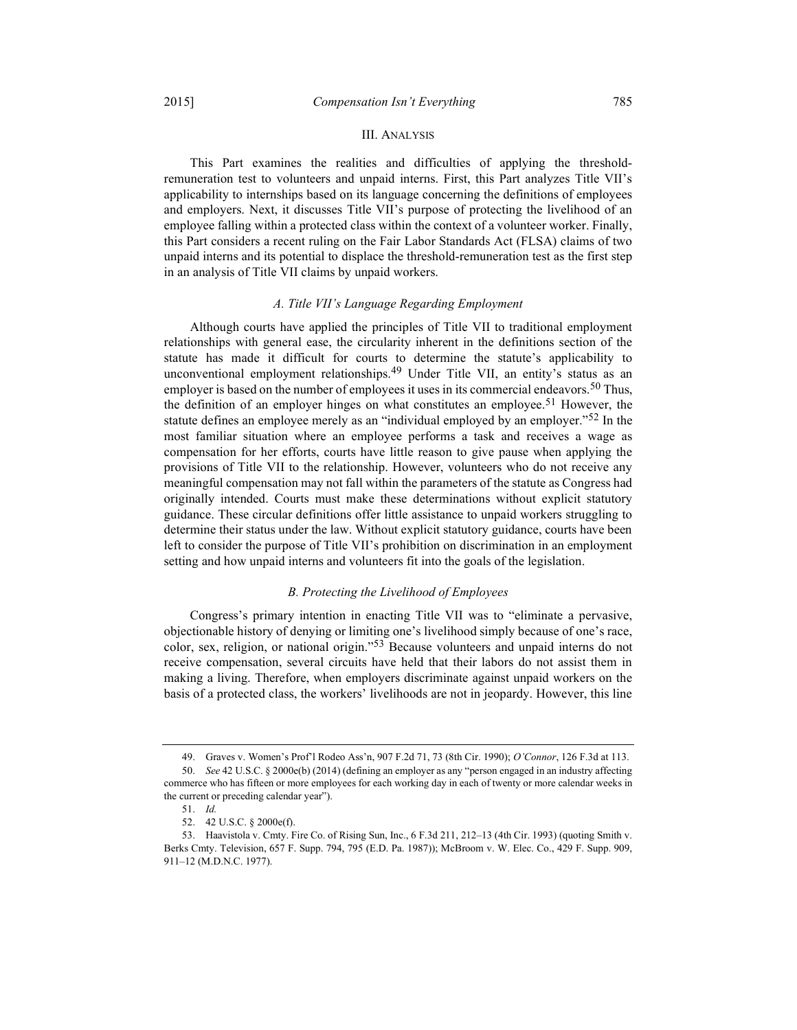## III. ANALYSIS

This Part examines the realities and difficulties of applying the thresholdremuneration test to volunteers and unpaid interns. First, this Part analyzes Title VII's applicability to internships based on its language concerning the definitions of employees and employers. Next, it discusses Title VII's purpose of protecting the livelihood of an employee falling within a protected class within the context of a volunteer worker. Finally, this Part considers a recent ruling on the Fair Labor Standards Act (FLSA) claims of two unpaid interns and its potential to displace the threshold-remuneration test as the first step in an analysis of Title VII claims by unpaid workers.

#### A. Title VII's Language Regarding Employment

Although courts have applied the principles of Title VII to traditional employment relationships with general ease, the circularity inherent in the definitions section of the statute has made it difficult for courts to determine the statute's applicability to unconventional employment relationships.<sup>49</sup> Under Title VII, an entity's status as an employer is based on the number of employees it uses in its commercial endeavors.<sup>50</sup> Thus, the definition of an employer hinges on what constitutes an employee.<sup>51</sup> However, the statute defines an employee merely as an "individual employed by an employer."<sup>52</sup> In the most familiar situation where an employee performs a task and receives a wage as compensation for her efforts, courts have little reason to give pause when applying the provisions of Title VII to the relationship. However, volunteers who do not receive any meaningful compensation may not fall within the parameters of the statute as Congress had originally intended. Courts must make these determinations without explicit statutory guidance. These circular definitions offer little assistance to unpaid workers struggling to determine their status under the law. Without explicit statutory guidance, courts have been left to consider the purpose of Title VII's prohibition on discrimination in an employment setting and how unpaid interns and volunteers fit into the goals of the legislation.

## B. Protecting the Livelihood of Employees

Congress's primary intention in enacting Title VII was to "eliminate a pervasive, objectionable history of denying or limiting one's livelihood simply because of one's race, color, sex, religion, or national origin."53 Because volunteers and unpaid interns do not receive compensation, several circuits have held that their labors do not assist them in making a living. Therefore, when employers discriminate against unpaid workers on the basis of a protected class, the workers' livelihoods are not in jeopardy. However, this line

 <sup>49.</sup> Graves v. Women's Prof'l Rodeo Ass'n, 907 F.2d 71, 73 (8th Cir. 1990); O'Connor, 126 F.3d at 113.

 <sup>50.</sup> See 42 U.S.C. § 2000e(b) (2014) (defining an employer as any "person engaged in an industry affecting commerce who has fifteen or more employees for each working day in each of twenty or more calendar weeks in the current or preceding calendar year").

 <sup>51.</sup> Id.

 <sup>52. 42</sup> U.S.C. § 2000e(f).

 <sup>53.</sup> Haavistola v. Cmty. Fire Co. of Rising Sun, Inc., 6 F.3d 211, 212–13 (4th Cir. 1993) (quoting Smith v. Berks Cmty. Television, 657 F. Supp. 794, 795 (E.D. Pa. 1987)); McBroom v. W. Elec. Co., 429 F. Supp. 909, 911–12 (M.D.N.C. 1977).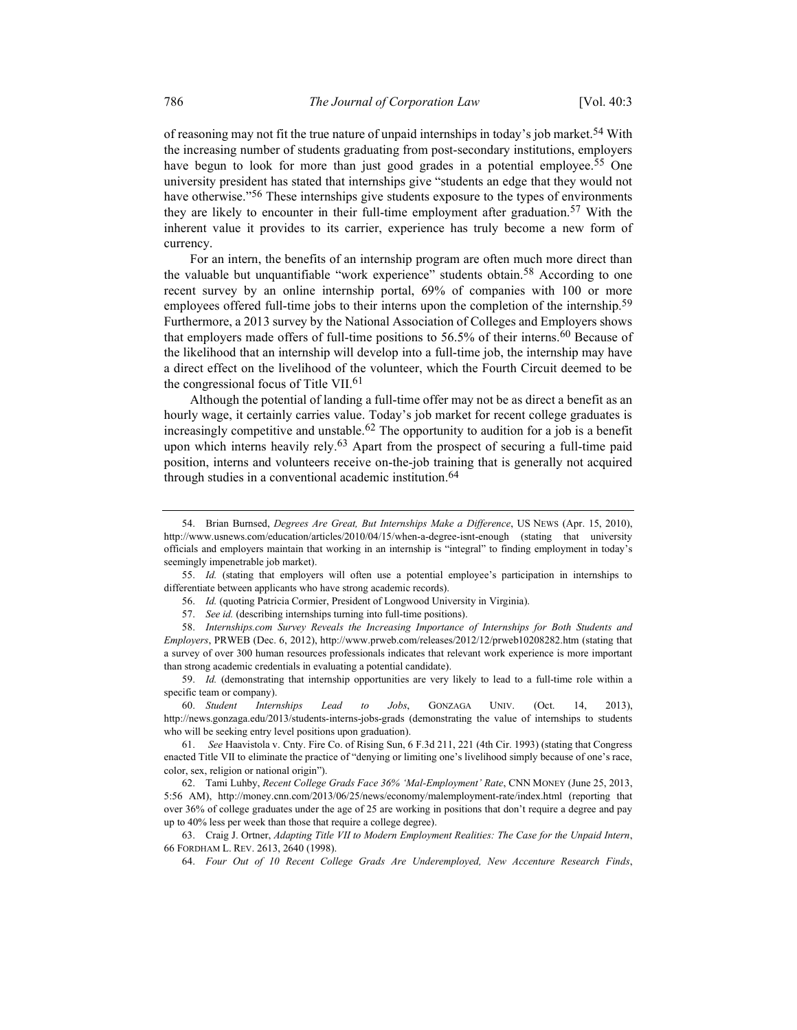of reasoning may not fit the true nature of unpaid internships in today's job market.<sup>54</sup> With the increasing number of students graduating from post-secondary institutions, employers have begun to look for more than just good grades in a potential employee.<sup>55</sup> One university president has stated that internships give "students an edge that they would not have otherwise."<sup>56</sup> These internships give students exposure to the types of environments they are likely to encounter in their full-time employment after graduation.<sup>57</sup> With the inherent value it provides to its carrier, experience has truly become a new form of currency.

For an intern, the benefits of an internship program are often much more direct than the valuable but unquantifiable "work experience" students obtain.58 According to one recent survey by an online internship portal, 69% of companies with 100 or more employees offered full-time jobs to their interns upon the completion of the internship.<sup>59</sup> Furthermore, a 2013 survey by the National Association of Colleges and Employers shows that employers made offers of full-time positions to  $56.5\%$  of their interns.<sup>60</sup> Because of the likelihood that an internship will develop into a full-time job, the internship may have a direct effect on the livelihood of the volunteer, which the Fourth Circuit deemed to be the congressional focus of Title VII.<sup>61</sup>

Although the potential of landing a full-time offer may not be as direct a benefit as an hourly wage, it certainly carries value. Today's job market for recent college graduates is increasingly competitive and unstable.<sup>62</sup> The opportunity to audition for a job is a benefit upon which interns heavily rely.<sup>63</sup> Apart from the prospect of securing a full-time paid position, interns and volunteers receive on-the-job training that is generally not acquired through studies in a conventional academic institution.<sup>64</sup>

 55. Id. (stating that employers will often use a potential employee's participation in internships to differentiate between applicants who have strong academic records).

 58. Internships.com Survey Reveals the Increasing Importance of Internships for Both Students and Employers, PRWEB (Dec. 6, 2012), http://www.prweb.com/releases/2012/12/prweb10208282.htm (stating that a survey of over 300 human resources professionals indicates that relevant work experience is more important than strong academic credentials in evaluating a potential candidate).

59. Id. (demonstrating that internship opportunities are very likely to lead to a full-time role within a specific team or company).

 60. Student Internships Lead to Jobs, GONZAGA UNIV. (Oct. 14, 2013), http://news.gonzaga.edu/2013/students-interns-jobs-grads (demonstrating the value of internships to students who will be seeking entry level positions upon graduation).

 61. See Haavistola v. Cnty. Fire Co. of Rising Sun, 6 F.3d 211, 221 (4th Cir. 1993) (stating that Congress enacted Title VII to eliminate the practice of "denying or limiting one's livelihood simply because of one's race, color, sex, religion or national origin").

 62. Tami Luhby, Recent College Grads Face 36% 'Mal-Employment' Rate, CNN MONEY (June 25, 2013, 5:56 AM), http://money.cnn.com/2013/06/25/news/economy/malemployment-rate/index.html (reporting that over 36% of college graduates under the age of 25 are working in positions that don't require a degree and pay up to 40% less per week than those that require a college degree).

 63. Craig J. Ortner, Adapting Title VII to Modern Employment Realities: The Case for the Unpaid Intern, 66 FORDHAM L. REV. 2613, 2640 (1998).

64. Four Out of 10 Recent College Grads Are Underemployed, New Accenture Research Finds,

 <sup>54.</sup> Brian Burnsed, Degrees Are Great, But Internships Make a Difference, US NEWS (Apr. 15, 2010), http://www.usnews.com/education/articles/2010/04/15/when-a-degree-isnt-enough (stating that university officials and employers maintain that working in an internship is "integral" to finding employment in today's seemingly impenetrable job market).

 <sup>56.</sup> Id. (quoting Patricia Cormier, President of Longwood University in Virginia).

 <sup>57.</sup> See id. (describing internships turning into full-time positions).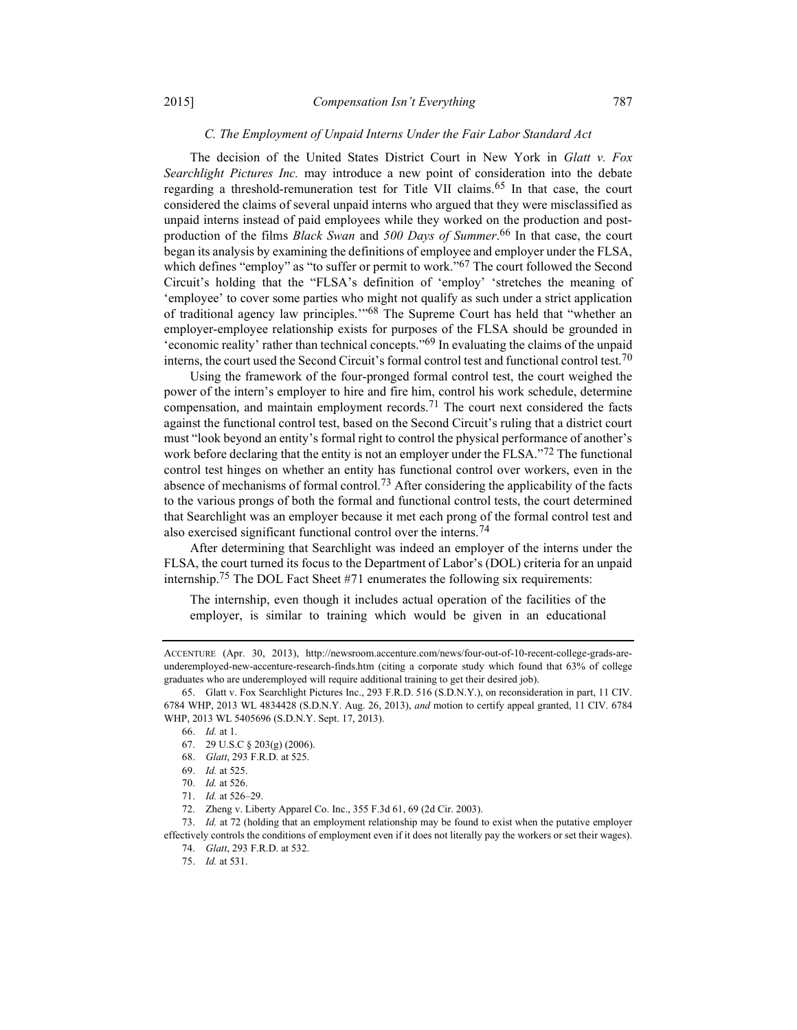## C. The Employment of Unpaid Interns Under the Fair Labor Standard Act

The decision of the United States District Court in New York in Glatt v. Fox Searchlight Pictures Inc. may introduce a new point of consideration into the debate regarding a threshold-remuneration test for Title VII claims.<sup>65</sup> In that case, the court considered the claims of several unpaid interns who argued that they were misclassified as unpaid interns instead of paid employees while they worked on the production and postproduction of the films *Black Swan* and 500 Days of Summer.<sup>66</sup> In that case, the court began its analysis by examining the definitions of employee and employer under the FLSA, which defines "employ" as "to suffer or permit to work."<sup>67</sup> The court followed the Second Circuit's holding that the "FLSA's definition of 'employ' 'stretches the meaning of 'employee' to cover some parties who might not qualify as such under a strict application of traditional agency law principles.'"68 The Supreme Court has held that "whether an employer-employee relationship exists for purposes of the FLSA should be grounded in 'economic reality' rather than technical concepts."69 In evaluating the claims of the unpaid interns, the court used the Second Circuit's formal control test and functional control test.<sup>70</sup>

Using the framework of the four-pronged formal control test, the court weighed the power of the intern's employer to hire and fire him, control his work schedule, determine compensation, and maintain employment records.<sup>71</sup> The court next considered the facts against the functional control test, based on the Second Circuit's ruling that a district court must "look beyond an entity's formal right to control the physical performance of another's work before declaring that the entity is not an employer under the FLSA."<sup>72</sup> The functional control test hinges on whether an entity has functional control over workers, even in the absence of mechanisms of formal control.<sup>73</sup> After considering the applicability of the facts to the various prongs of both the formal and functional control tests, the court determined that Searchlight was an employer because it met each prong of the formal control test and also exercised significant functional control over the interns.74

After determining that Searchlight was indeed an employer of the interns under the FLSA, the court turned its focus to the Department of Labor's (DOL) criteria for an unpaid internship.75 The DOL Fact Sheet #71 enumerates the following six requirements:

The internship, even though it includes actual operation of the facilities of the employer, is similar to training which would be given in an educational

ACCENTURE (Apr. 30, 2013), http://newsroom.accenture.com/news/four-out-of-10-recent-college-grads-areunderemployed-new-accenture-research-finds.htm (citing a corporate study which found that 63% of college graduates who are underemployed will require additional training to get their desired job).

 <sup>65.</sup> Glatt v. Fox Searchlight Pictures Inc., 293 F.R.D. 516 (S.D.N.Y.), on reconsideration in part, 11 CIV. 6784 WHP, 2013 WL 4834428 (S.D.N.Y. Aug. 26, 2013), and motion to certify appeal granted, 11 CIV. 6784 WHP, 2013 WL 5405696 (S.D.N.Y. Sept. 17, 2013).

 <sup>66.</sup> Id. at 1.

 <sup>67. 29</sup> U.S.C § 203(g) (2006).

 <sup>68.</sup> Glatt, 293 F.R.D. at 525.

 <sup>69.</sup> Id. at 525.

 <sup>70.</sup> Id. at 526.

 <sup>71.</sup> Id. at 526–29.

 <sup>72.</sup> Zheng v. Liberty Apparel Co. Inc., 355 F.3d 61, 69 (2d Cir. 2003).

 <sup>73.</sup> Id. at 72 (holding that an employment relationship may be found to exist when the putative employer effectively controls the conditions of employment even if it does not literally pay the workers or set their wages). 74. Glatt, 293 F.R.D. at 532.

 <sup>75.</sup> Id. at 531.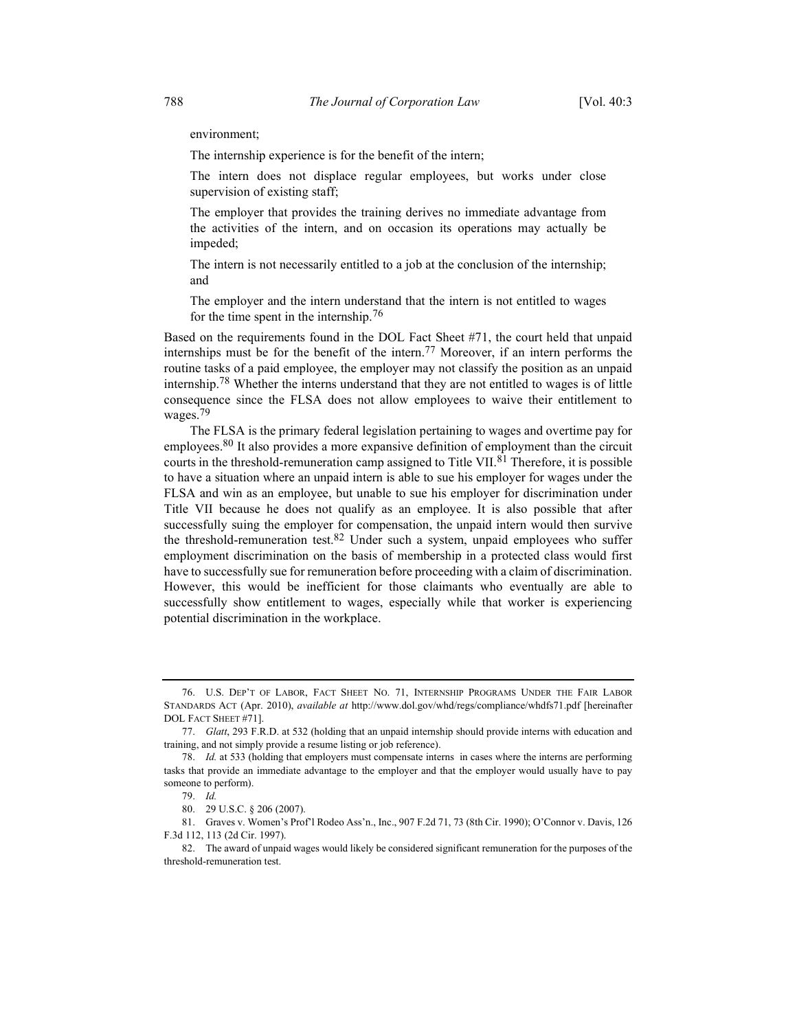environment;

The internship experience is for the benefit of the intern;

The intern does not displace regular employees, but works under close supervision of existing staff;

The employer that provides the training derives no immediate advantage from the activities of the intern, and on occasion its operations may actually be impeded;

The intern is not necessarily entitled to a job at the conclusion of the internship; and

The employer and the intern understand that the intern is not entitled to wages for the time spent in the internship.76

Based on the requirements found in the DOL Fact Sheet #71, the court held that unpaid internships must be for the benefit of the intern.<sup>77</sup> Moreover, if an intern performs the routine tasks of a paid employee, the employer may not classify the position as an unpaid internship.78 Whether the interns understand that they are not entitled to wages is of little consequence since the FLSA does not allow employees to waive their entitlement to wages.<sup>79</sup>

The FLSA is the primary federal legislation pertaining to wages and overtime pay for employees.<sup>80</sup> It also provides a more expansive definition of employment than the circuit courts in the threshold-remuneration camp assigned to Title VII.<sup>81</sup> Therefore, it is possible to have a situation where an unpaid intern is able to sue his employer for wages under the FLSA and win as an employee, but unable to sue his employer for discrimination under Title VII because he does not qualify as an employee. It is also possible that after successfully suing the employer for compensation, the unpaid intern would then survive the threshold-remuneration test.<sup>82</sup> Under such a system, unpaid employees who suffer employment discrimination on the basis of membership in a protected class would first have to successfully sue for remuneration before proceeding with a claim of discrimination. However, this would be inefficient for those claimants who eventually are able to successfully show entitlement to wages, especially while that worker is experiencing potential discrimination in the workplace.

 <sup>76.</sup> U.S. DEP'T OF LABOR, FACT SHEET NO. 71, INTERNSHIP PROGRAMS UNDER THE FAIR LABOR STANDARDS ACT (Apr. 2010), available at http://www.dol.gov/whd/regs/compliance/whdfs71.pdf [hereinafter DOL FACT SHEET #71].

 <sup>77.</sup> Glatt, 293 F.R.D. at 532 (holding that an unpaid internship should provide interns with education and training, and not simply provide a resume listing or job reference).

 <sup>78.</sup> Id. at 533 (holding that employers must compensate interns in cases where the interns are performing tasks that provide an immediate advantage to the employer and that the employer would usually have to pay someone to perform).

 <sup>79.</sup> Id.

 <sup>80. 29</sup> U.S.C. § 206 (2007).

 <sup>81.</sup> Graves v. Women's Prof'l Rodeo Ass'n., Inc., 907 F.2d 71, 73 (8th Cir. 1990); O'Connor v. Davis, 126 F.3d 112, 113 (2d Cir. 1997).

 <sup>82.</sup> The award of unpaid wages would likely be considered significant remuneration for the purposes of the threshold-remuneration test.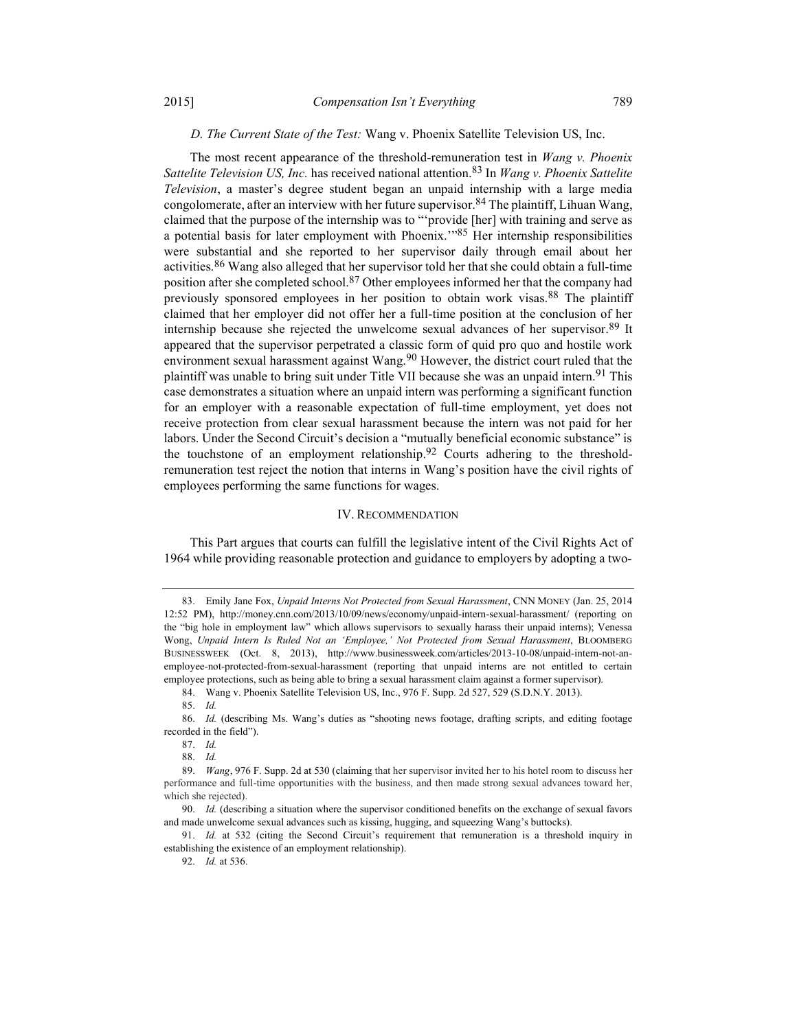## D. The Current State of the Test: Wang v. Phoenix Satellite Television US, Inc.

The most recent appearance of the threshold-remuneration test in *Wang v. Phoenix* Sattelite Television US, Inc. has received national attention.<sup>83</sup> In Wang v. Phoenix Sattelite Television, a master's degree student began an unpaid internship with a large media congolomerate, after an interview with her future supervisor.<sup>84</sup> The plaintiff, Lihuan Wang, claimed that the purpose of the internship was to "'provide [her] with training and serve as a potential basis for later employment with Phoenix."<sup>85</sup> Her internship responsibilities were substantial and she reported to her supervisor daily through email about her activities.<sup>86</sup> Wang also alleged that her supervisor told her that she could obtain a full-time position after she completed school.<sup>87</sup> Other employees informed her that the company had previously sponsored employees in her position to obtain work visas.88 The plaintiff claimed that her employer did not offer her a full-time position at the conclusion of her internship because she rejected the unwelcome sexual advances of her supervisor.89 It appeared that the supervisor perpetrated a classic form of quid pro quo and hostile work environment sexual harassment against Wang.<sup>90</sup> However, the district court ruled that the plaintiff was unable to bring suit under Title VII because she was an unpaid intern.<sup>91</sup> This case demonstrates a situation where an unpaid intern was performing a significant function for an employer with a reasonable expectation of full-time employment, yet does not receive protection from clear sexual harassment because the intern was not paid for her labors. Under the Second Circuit's decision a "mutually beneficial economic substance" is the touchstone of an employment relationship.<sup>92</sup> Courts adhering to the thresholdremuneration test reject the notion that interns in Wang's position have the civil rights of employees performing the same functions for wages.

### IV. RECOMMENDATION

This Part argues that courts can fulfill the legislative intent of the Civil Rights Act of 1964 while providing reasonable protection and guidance to employers by adopting a two-

88. Id.

<sup>83.</sup> Emily Jane Fox, Unpaid Interns Not Protected from Sexual Harassment, CNN MONEY (Jan. 25, 2014 12:52 PM), http://money.cnn.com/2013/10/09/news/economy/unpaid-intern-sexual-harassment/ (reporting on the "big hole in employment law" which allows supervisors to sexually harass their unpaid interns); Venessa Wong, Unpaid Intern Is Ruled Not an 'Employee,' Not Protected from Sexual Harassment, BLOOMBERG BUSINESSWEEK (Oct. 8, 2013), http://www.businessweek.com/articles/2013-10-08/unpaid-intern-not-anemployee-not-protected-from-sexual-harassment (reporting that unpaid interns are not entitled to certain employee protections, such as being able to bring a sexual harassment claim against a former supervisor).

 <sup>84.</sup> Wang v. Phoenix Satellite Television US, Inc., 976 F. Supp. 2d 527, 529 (S.D.N.Y. 2013).

 <sup>85.</sup> Id.

 <sup>86.</sup> Id. (describing Ms. Wang's duties as "shooting news footage, drafting scripts, and editing footage recorded in the field").

 <sup>87.</sup> Id.

 <sup>89.</sup> Wang, 976 F. Supp. 2d at 530 (claiming that her supervisor invited her to his hotel room to discuss her performance and full-time opportunities with the business, and then made strong sexual advances toward her, which she rejected).

 <sup>90.</sup> Id. (describing a situation where the supervisor conditioned benefits on the exchange of sexual favors and made unwelcome sexual advances such as kissing, hugging, and squeezing Wang's buttocks).

<sup>91.</sup> Id. at 532 (citing the Second Circuit's requirement that remuneration is a threshold inquiry in establishing the existence of an employment relationship).

 <sup>92.</sup> Id. at 536.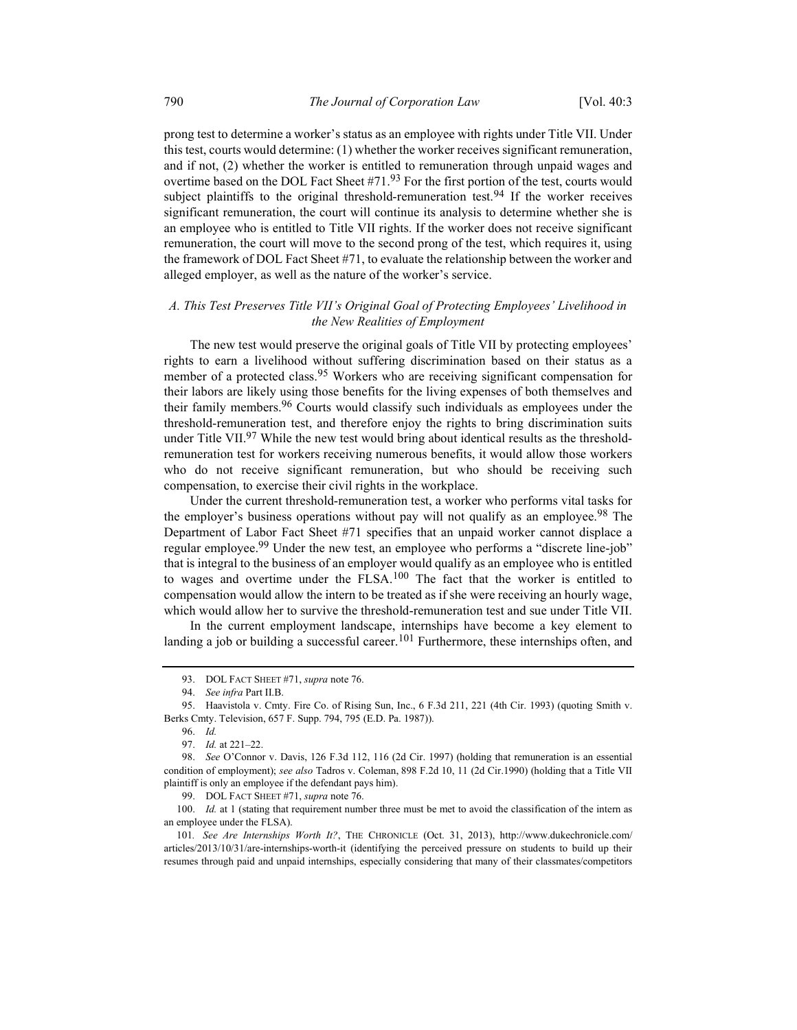prong test to determine a worker's status as an employee with rights under Title VII. Under this test, courts would determine: (1) whether the worker receives significant remuneration, and if not, (2) whether the worker is entitled to remuneration through unpaid wages and overtime based on the DOL Fact Sheet  $#71.93$  For the first portion of the test, courts would subject plaintiffs to the original threshold-remuneration test.<sup>94</sup> If the worker receives significant remuneration, the court will continue its analysis to determine whether she is an employee who is entitled to Title VII rights. If the worker does not receive significant remuneration, the court will move to the second prong of the test, which requires it, using the framework of DOL Fact Sheet #71, to evaluate the relationship between the worker and alleged employer, as well as the nature of the worker's service.

## A. This Test Preserves Title VII's Original Goal of Protecting Employees' Livelihood in the New Realities of Employment

The new test would preserve the original goals of Title VII by protecting employees' rights to earn a livelihood without suffering discrimination based on their status as a member of a protected class.<sup>95</sup> Workers who are receiving significant compensation for their labors are likely using those benefits for the living expenses of both themselves and their family members.<sup>96</sup> Courts would classify such individuals as employees under the threshold-remuneration test, and therefore enjoy the rights to bring discrimination suits under Title VII.<sup>97</sup> While the new test would bring about identical results as the thresholdremuneration test for workers receiving numerous benefits, it would allow those workers who do not receive significant remuneration, but who should be receiving such compensation, to exercise their civil rights in the workplace.

Under the current threshold-remuneration test, a worker who performs vital tasks for the employer's business operations without pay will not qualify as an employee.<sup>98</sup> The Department of Labor Fact Sheet #71 specifies that an unpaid worker cannot displace a regular employee.<sup>99</sup> Under the new test, an employee who performs a "discrete line-job" that is integral to the business of an employer would qualify as an employee who is entitled to wages and overtime under the FLSA. $100$  The fact that the worker is entitled to compensation would allow the intern to be treated as if she were receiving an hourly wage, which would allow her to survive the threshold-remuneration test and sue under Title VII.

In the current employment landscape, internships have become a key element to landing a job or building a successful career.<sup>101</sup> Furthermore, these internships often, and

99. DOL FACT SHEET #71, supra note 76.

100. Id. at 1 (stating that requirement number three must be met to avoid the classification of the intern as an employee under the FLSA).

101. See Are Internships Worth It?, THE CHRONICLE (Oct. 31, 2013), http://www.dukechronicle.com/ articles/2013/10/31/are-internships-worth-it (identifying the perceived pressure on students to build up their resumes through paid and unpaid internships, especially considering that many of their classmates/competitors

<sup>93.</sup> DOL FACT SHEET #71, supra note 76.

 <sup>94.</sup> See infra Part II.B.

 <sup>95.</sup> Haavistola v. Cmty. Fire Co. of Rising Sun, Inc., 6 F.3d 211, 221 (4th Cir. 1993) (quoting Smith v. Berks Cmty. Television, 657 F. Supp. 794, 795 (E.D. Pa. 1987)).

 <sup>96.</sup> Id.

 <sup>97.</sup> Id. at 221–22.

 <sup>98.</sup> See O'Connor v. Davis, 126 F.3d 112, 116 (2d Cir. 1997) (holding that remuneration is an essential condition of employment); see also Tadros v. Coleman, 898 F.2d 10, 11 (2d Cir.1990) (holding that a Title VII plaintiff is only an employee if the defendant pays him).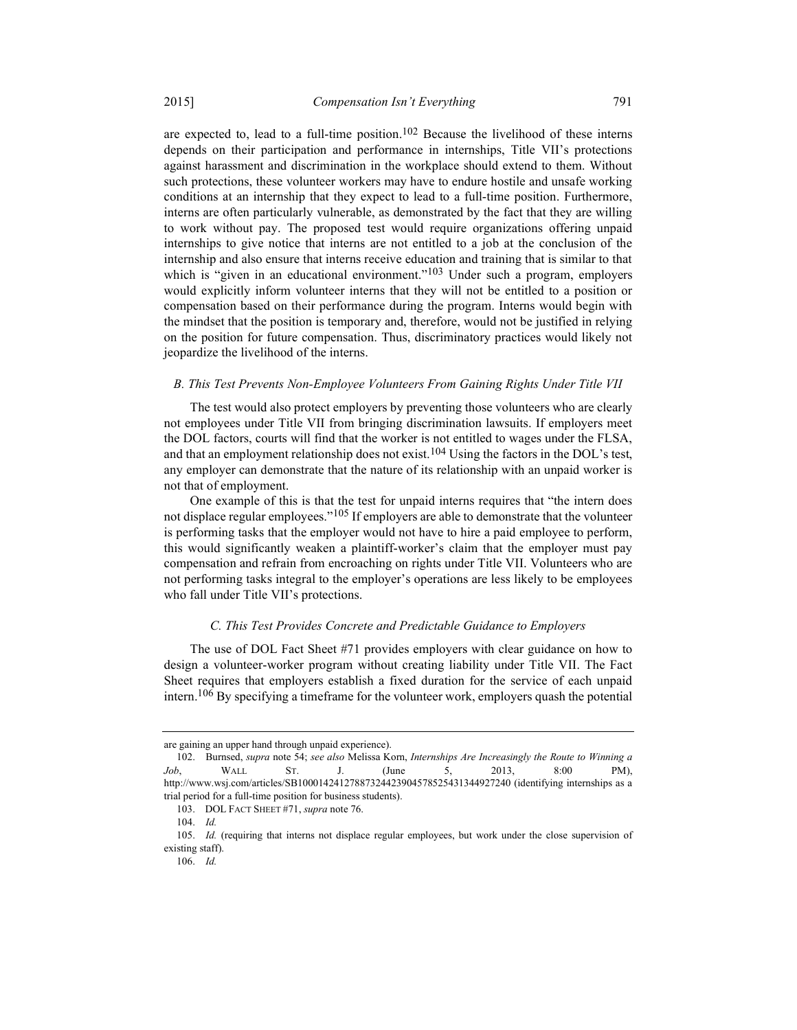are expected to, lead to a full-time position.<sup>102</sup> Because the livelihood of these interns depends on their participation and performance in internships, Title VII's protections against harassment and discrimination in the workplace should extend to them. Without such protections, these volunteer workers may have to endure hostile and unsafe working conditions at an internship that they expect to lead to a full-time position. Furthermore, interns are often particularly vulnerable, as demonstrated by the fact that they are willing to work without pay. The proposed test would require organizations offering unpaid internships to give notice that interns are not entitled to a job at the conclusion of the internship and also ensure that interns receive education and training that is similar to that which is "given in an educational environment."<sup>103</sup> Under such a program, employers would explicitly inform volunteer interns that they will not be entitled to a position or compensation based on their performance during the program. Interns would begin with the mindset that the position is temporary and, therefore, would not be justified in relying on the position for future compensation. Thus, discriminatory practices would likely not jeopardize the livelihood of the interns.

## B. This Test Prevents Non-Employee Volunteers From Gaining Rights Under Title VII

The test would also protect employers by preventing those volunteers who are clearly not employees under Title VII from bringing discrimination lawsuits. If employers meet the DOL factors, courts will find that the worker is not entitled to wages under the FLSA, and that an employment relationship does not exist.<sup>104</sup> Using the factors in the DOL's test, any employer can demonstrate that the nature of its relationship with an unpaid worker is not that of employment.

One example of this is that the test for unpaid interns requires that "the intern does not displace regular employees."<sup>105</sup> If employers are able to demonstrate that the volunteer is performing tasks that the employer would not have to hire a paid employee to perform, this would significantly weaken a plaintiff-worker's claim that the employer must pay compensation and refrain from encroaching on rights under Title VII. Volunteers who are not performing tasks integral to the employer's operations are less likely to be employees who fall under Title VII's protections.

## C. This Test Provides Concrete and Predictable Guidance to Employers

The use of DOL Fact Sheet #71 provides employers with clear guidance on how to design a volunteer-worker program without creating liability under Title VII. The Fact Sheet requires that employers establish a fixed duration for the service of each unpaid intern.106 By specifying a timeframe for the volunteer work, employers quash the potential

are gaining an upper hand through unpaid experience).

 <sup>102.</sup> Burnsed, supra note 54; see also Melissa Korn, Internships Are Increasingly the Route to Winning a Job, WALL ST. J. (June 5, 2013, 8:00 PM), http://www.wsj.com/articles/SB10001424127887324423904578525431344927240 (identifying internships as a trial period for a full-time position for business students).

<sup>103.</sup> DOL FACT SHEET #71, supra note 76.

 <sup>104.</sup> Id.

 <sup>105.</sup> Id. (requiring that interns not displace regular employees, but work under the close supervision of existing staff).

 <sup>106.</sup> Id.